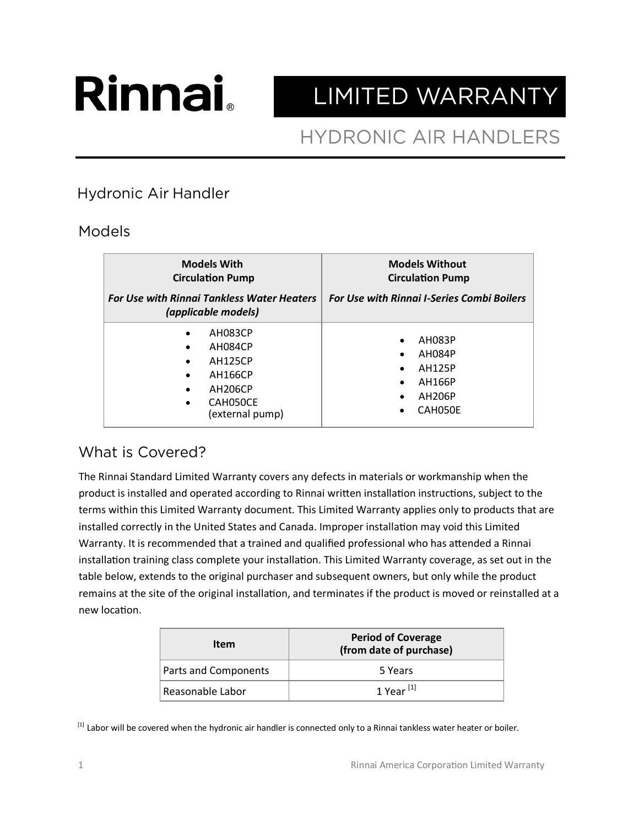# **Rinnai**

## LIMITED WARRANTY

### **HYDRONIC AIR HANDLERS**

#### **Hydronic Air Handler**

#### Models

| <b>Models With</b><br><b>Circulation Pump</b><br><b>For Use with Rinnai Tankless Water Heaters</b><br>(applicable models)                                                             | <b>Models Without</b><br><b>Circulation Pump</b><br><b>For Use with Rinnai I-Series Combi Boilers</b>                             |
|---------------------------------------------------------------------------------------------------------------------------------------------------------------------------------------|-----------------------------------------------------------------------------------------------------------------------------------|
| AH083CP<br>$\bullet$<br>AH084CP<br>$\bullet$<br><b>AH125CP</b><br>$\bullet$<br><b>AH166CP</b><br>$\bullet$<br><b>AH206CP</b><br>$\bullet$<br>CAH050CE<br>$\bullet$<br>(external pump) | AH083P<br>$\bullet$<br>AH084P<br>$\bullet$<br><b>AH125P</b><br>$\bullet$<br>AH166P<br>$\bullet$<br>AH206P<br>$\bullet$<br>CAH050E |

#### What is Covered?

The Rinnai Standard Limited Warranty covers any defects in materials or workmanship when the product is installed and operated according to Rinnai written installation instructions, subject to the terms within this Limited Warranty document. This Limited Warranty applies only to products that are installed correctly in the United States and Canada. Improper installation may void this Limited Warranty. It is recommended that a trained and qualified professional who has attended a Rinnai installation training class complete your installation. This Limited Warranty coverage, as set out in the table below, extends to the original purchaser and subsequent owners, but only while the product remains at the site of the original installation, and terminates if the product is moved or reinstalled at a new location.

| Item                 | <b>Period of Coverage</b><br>(from date of purchase) |
|----------------------|------------------------------------------------------|
| Parts and Components | 5 Years                                              |
| Reasonable Labor     | 1 Year $^{[1]}$                                      |

[1] Labor will be covered when the hydronic air handler is connected only to a Rinnai tankless water heater or boiler.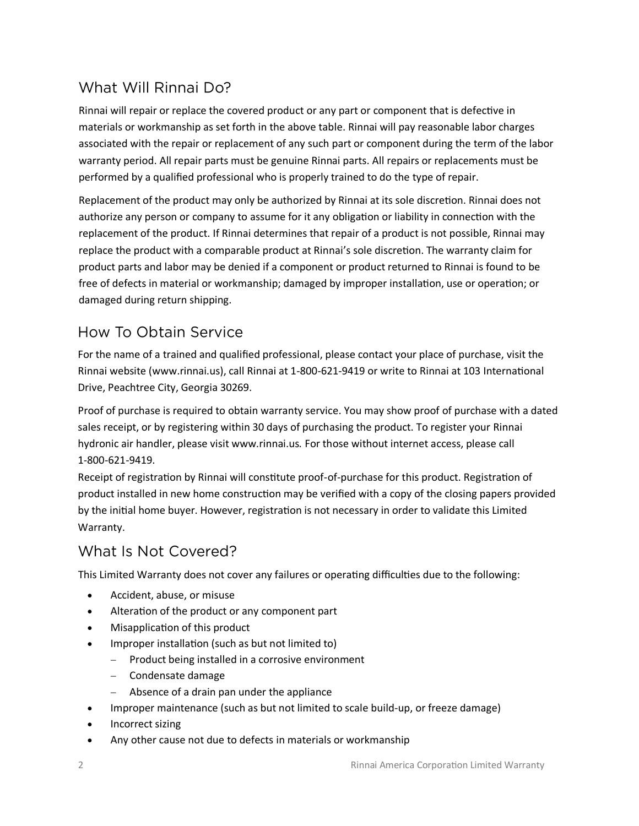#### What Will Rinnai Do?

Rinnai will repair or replace the covered product or any part or component that is defective in materials or workmanship as set forth in the above table. Rinnai will pay reasonable labor charges associated with the repair or replacement of any such part or component during the term of the labor warranty period. All repair parts must be genuine Rinnai parts. All repairs or replacements must be performed by a qualified professional who is properly trained to do the type of repair.

Replacement of the product may only be authorized by Rinnai at its sole discretion. Rinnai does not authorize any person or company to assume for it any obligation or liability in connection with the replacement of the product. If Rinnai determines that repair of a product is not possible, Rinnai may replace the product with a comparable product at Rinnai's sole discretion. The warranty claim for product parts and labor may be denied if a component or product returned to Rinnai is found to be free of defects in material or workmanship; damaged by improper installation, use or operation; or damaged during return shipping.

#### How To Obtain Service

For the name of a trained and qualified professional, please contact your place of purchase, visit the Rinnai website (www.rinnai.us), call Rinnai at 1-800-621-9419 or write to Rinnai at 103 International Drive, Peachtree City, Georgia 30269.

Proof of purchase is required to obtain warranty service. You may show proof of purchase with a dated sales receipt, or by registering within 30 days of purchasing the product. To register your Rinnai hydronic air handler, please visit www.rinnai.us*.* For those without internet access, please call 1-800-621-9419.

Receipt of registration by Rinnai will constitute proof-of-purchase for this product. Registration of product installed in new home construction may be verified with a copy of the closing papers provided by the initial home buyer. However, registration is not necessary in order to validate this Limited Warranty.

#### What Is Not Covered?

This Limited Warranty does not cover any failures or operating difficulties due to the following:

- Accident, abuse, or misuse
- Alteration of the product or any component part
- Misapplication of this product
- Improper installation (such as but not limited to)
	- − Product being installed in a corrosive environment
	- − Condensate damage
	- − Absence of a drain pan under the appliance
- Improper maintenance (such as but not limited to scale build-up, or freeze damage)
- Incorrect sizing
- Any other cause not due to defects in materials or workmanship